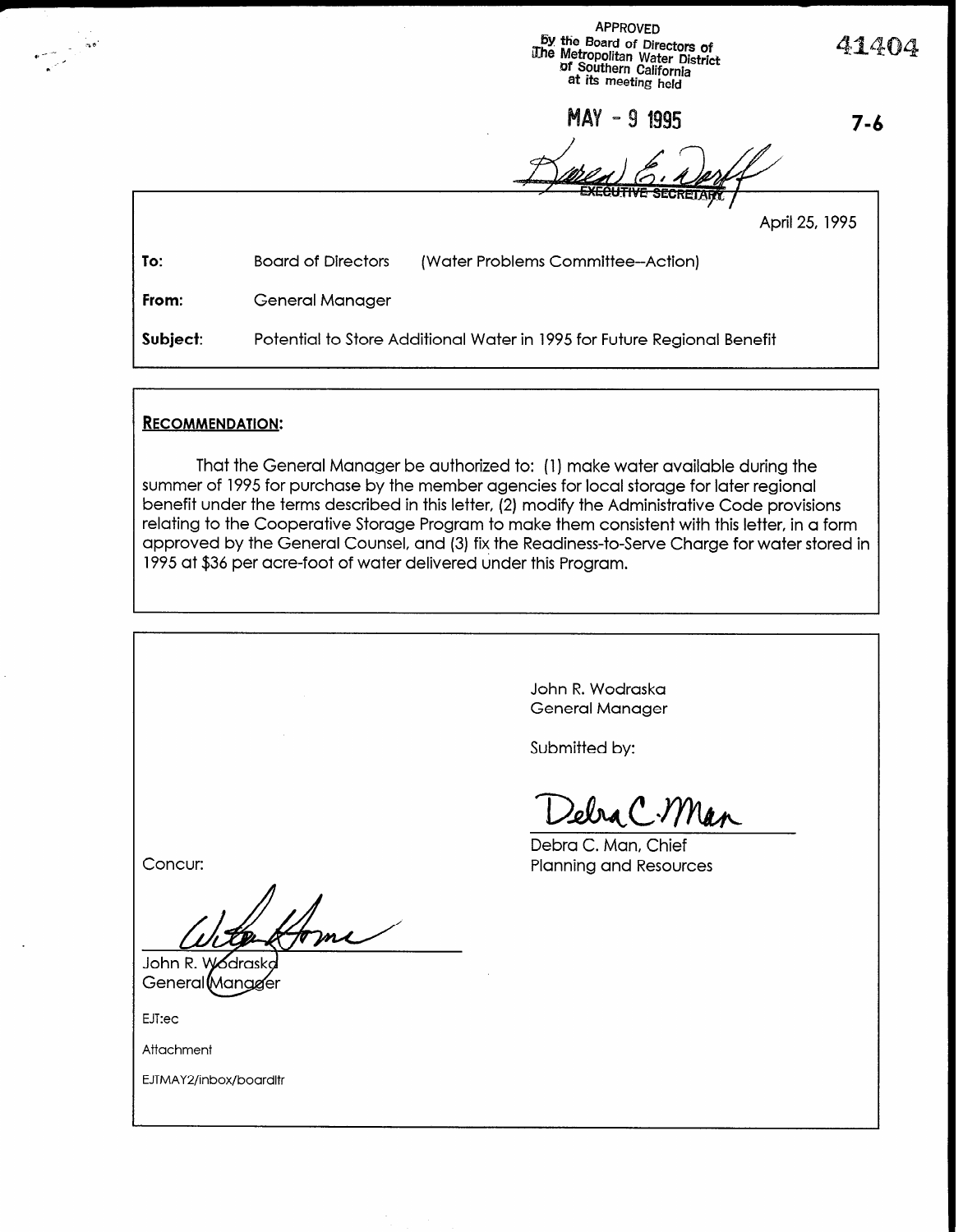APPROVED BY the Board of Directors of fie Metropolitan Water District 41404 Of Southern California at its meeting held

**MAY - 9 1995** 

 $\sqrt{11}$ 

7-6

|          |                                                                         | <b>EXECUTIVE SECRETARY</b><br>April 25, 1995 |
|----------|-------------------------------------------------------------------------|----------------------------------------------|
| To:      | <b>Board of Directors</b>                                               | (Water Problems Committee-Action)            |
| From:    | <b>General Manager</b>                                                  |                                              |
| Subject: | Potential to Store Additional Water in 1995 for Future Regional Benefit |                                              |

## RECOMMENDATION:

That the General Manager be authorized to: (1) make water available during the summer of 1995 for purchase by the member agencies for local storage for later regional benefit under the terms described in this letter, (2) modify the Administrative Code provisions relating to the Cooperative Storage Program to make them consistent with this letter, in a form approved by the General Counsel, and (3) fix the Readiness-to-Serve Charge for water stored in 1995 at \$36 per acre-foot of water delivered under this Program.

> John R. Wodraska General Manager

Submitted by:

Zebra C.Man

Debra C. Man, Chief Planning and Resources

Concur:

John R. W රdrasko General Mangger

EJT:ec

Attachment

EJTMAY2/inbox/boardltr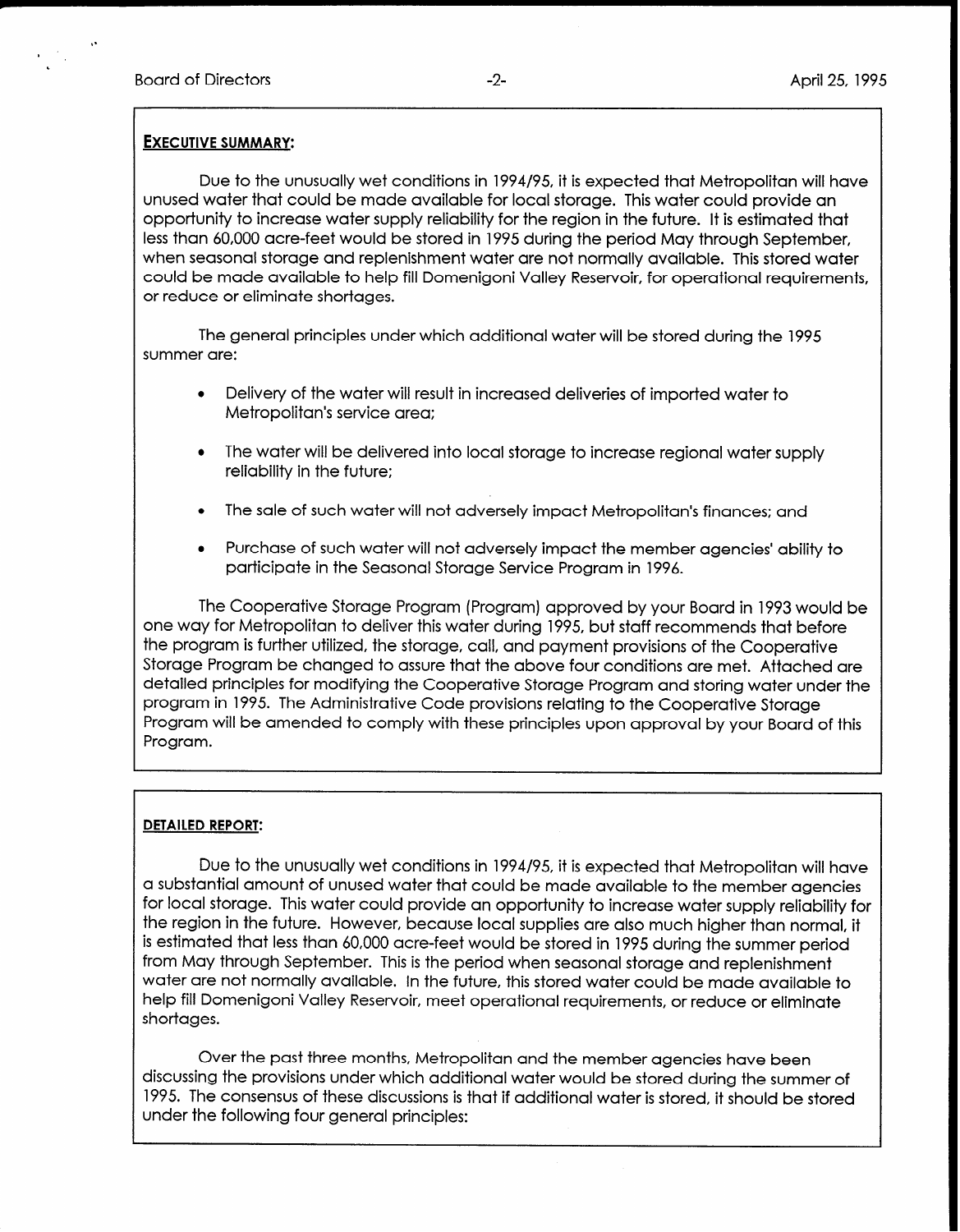## EXECUTIVE SUMMARY:

Due to the unusually wet conditions in 1994/95, it is expected that Metropolitan will have unused water that could be made available for local storage. This water could provide an opportunity to increase water supply reliability for the region in the future. It is estimated that less than 60,000 acre-feet would be stored in 1995 during the period May through September, when seasonal storage and replenishment water are not normally available. This stored water could be made available to help fill Domenigoni Valley Reservoir, for operational requirements, or reduce or eliminate shortages.

The general principles under which additional water will be stored during the 1995 summer are:

- Delivery of the water will result in increased deliveries of imported water to Metropolitan's service area:
- The water will be delivered into local storage to increase regional water supply reliability in the future:
- The sale of such water will not adversely impact Metropolitan's finances; and
- <sup>l</sup>Purchase of such water will not adversely impact the member agencies' ability to participate in the Seasonal Storage Service Program in 1996.

The Cooperative Storage Program (Program) approved by your Board in 1993 would be one way for Metropolitan to deliver this water during 1995, but staff recommends that before the program is further utilized, the storage, call, and payment provisions of the Cooperative Storage Program be changed to assure that the above four conditions are met. Attached are detailed principles for modifying the Cooperative Storage Program and storing water under the program in 1995. The Administrative Code provisions relating to the Cooperative Storage Program will be amended to comply with these principles upon approval by your Board of this Program.

## DETAILED REPORT:

Due to the unusually wet conditions in 1994/95, it is expected that Metropolitan will have a substantial amount of unused water that could be made available to the member agencies for local storage. This water could provide an opportunity to increase water supply reliability for the region in the future. However, because local supplies are also much higher than normal, it is estimated that less than 60,000 acre-feet would be stored in 1995 during the summer period from May through September. This is the period when seasonal storage and replenishment water are not normally available. In the future, this stored water could be made available to help fill Domenigoni Valley Reservoir, meet operational requirements, or reduce or eliminate shortages.

Over the past three months, Metropolitan and the member agencies have been discussing the provisions under which additional water would be stored during the summer of 1995. The consensus of these discussions is that if additional water is stored, it should be stored under the following four general principles: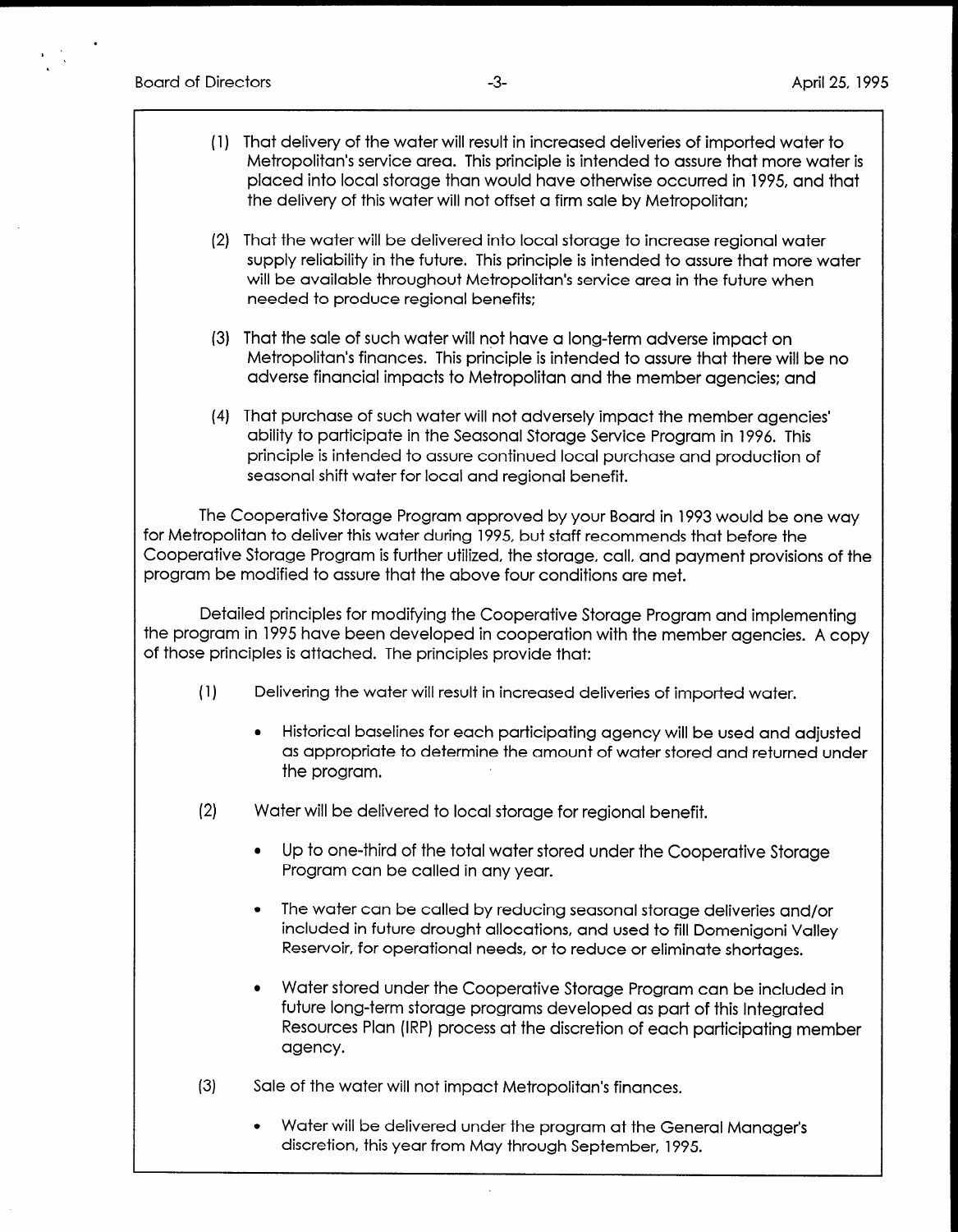- (1) That delivery of the water will result in increased deliveries of imported water to Metropolitan's service area. This principle is intended to assure that more water is placed into local storage than would have otherwise occurred in 1995, and that the delivery of this water will not offset a firm sale by Metropolitan:
- (2) That the water will be delivered into local storage to increase regional water supply reliability in the future. This principle is intended to assure that more water will be available throughout Metropolitan's service area in the future when needed to produce regional benefits:
- (3) That the sale of such water will not have a long-term adverse impact on Metropolitan's finances. This principle is intended to assure that there will be no adverse financial impacts to Metropolitan and the member agencies: and
- (4) That purchase of such water will not adversely impact the member agencies' ability to participate in the Seasonal Storage Service Program in 1996. This principle is intended to assure continued local purchase and production of seasonal shift water for local and regional benefit.

The Cooperative Storage Program approved by your Board in 1993 would be one way for Metropolitan to deliver this water during 1995, but staff recommends that before the Cooperative Storage Program is further utilized, the storage, call, and payment provisions of the program be modified to assure that the above four conditions are met.

Detailed principles for modifying the Cooperative Storage Program and implementing the program in 1995 have been developed in cooperation with the member agencies. A copy of those principles is attached. The principles provide that:

- (11 Delivering the water will result in increased deliveries of imported water.
	- <sup>l</sup>Historical baselines for each participating agency will be used and adjusted as appropriate to determine the amorphism of water stored and dujosition as appropriate to determine the amount of water stored and returned under the program.
- (2) Water will be delivered to local storage for regional benefit.
	- lup to one-third of the total water stored under the Cooperative Storage stored under the Cooperative Storage S Program can be called waters to
	- ine water can be called by reaucing seasonal storage deliveries and/or included in future drought allocations, and used to fill Domenigoni Valley<br>Reservoir, for operational needs, or to reduce or eliminate shortages.
	- Water stored under the Cooperative Storage Program can be included in future long-term storage programs developed as part of this Integrated Resources Plan (IRP) process at the discretion of each participating member agency.
- (3) Sale of the water will not impact Metropolitan's finances.
	- Water will be delivered under the program at the General Manager's discretion, this year from May through September, 1995.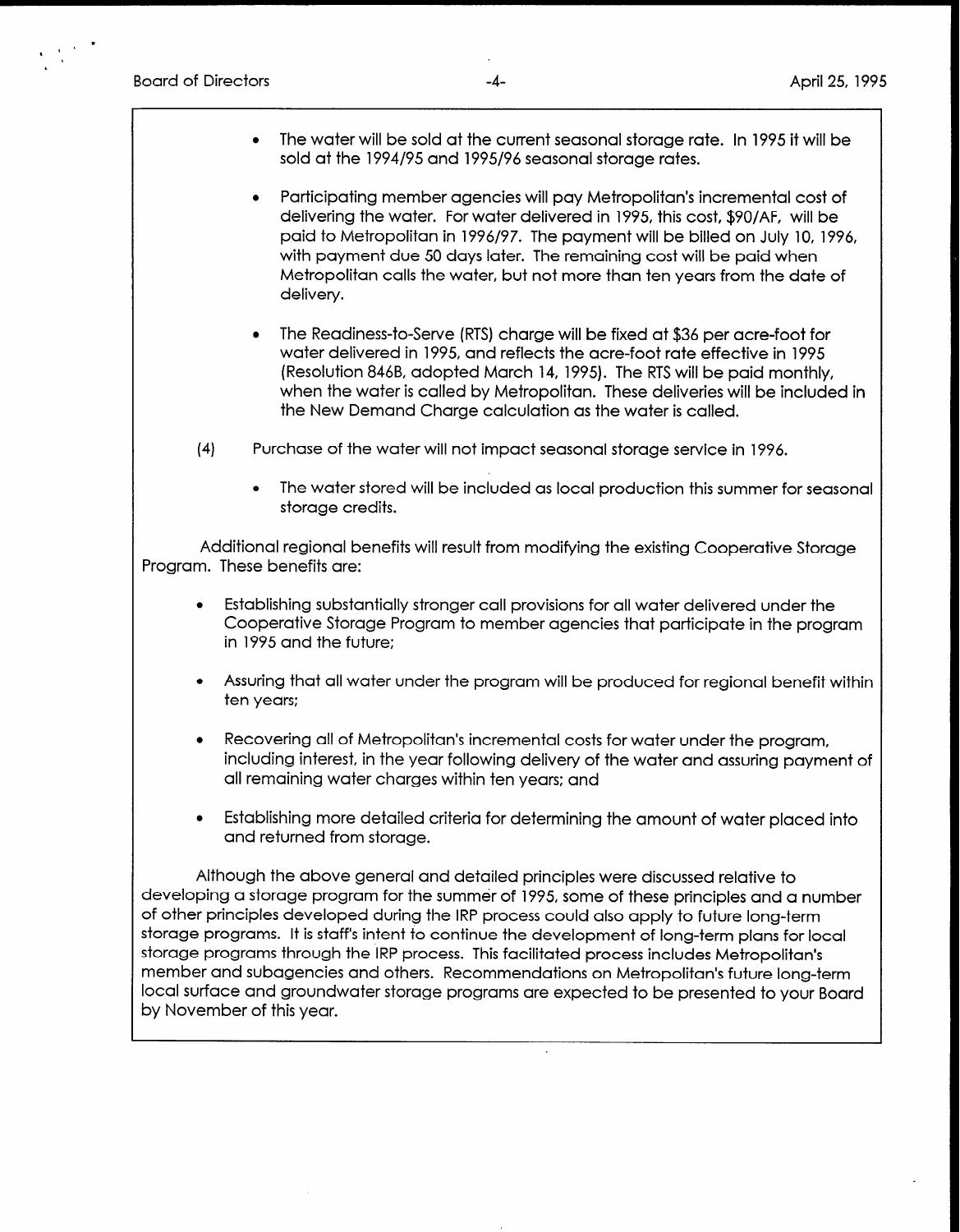Board of Directors -4- April 25, 1995

- $\bullet$  The water will be sold at the current seasonal storage rate. In 1995 it will be sold at the 1994/95 and 1995/96 seasonal storage rates.
- Participating member agencies will pay Metropolitan's incremental cost of delivering the water. For water delivered in 1995, this cost, \$90/AF, will be paid to Metropolitan in 1996/97. The payment will be billed on July 10, 1996, with payment due 50 days later. The remaining cost will be paid when Metropolitan calls the water, but not more than ten years from the date of delivery.
- The Readiness-to-Serve (RTS) charge will be fixed at \$36 per acre-foot for water delivered in 1995, and reflects the acre-foot rate effective in 1995 (Resolution 846B, adopted March 14, 1995). The RTS will be paid monthly, when the water is called by Metropolitan. These deliveries will be included in the New Demand Charge calculation as the water is called.
- (4 Purchase of the water will not impact seasonal storage service in 1996.
	- <sup>l</sup>The water stored will be included as local production this summer for seasonal storage credits.

Additional regional benefits will result from modifying the existing Cooperative Storage Program. These benefits are:

- <sup>l</sup>Establishing substantially stronger call provisions for all water delivered under the Cooperative Storage Program to member agencies that participate in the program in 1995 and the future;
- <sup>l</sup>Assuring that all water under the program will be produced for regional benefit within ten years:
- Recovering all of Metropolitan's incremental costs for water under the program, including interest, in the year following delivery of the water and assuring payment of all remaining water charges within ten years: and
- <sup>l</sup>Establishing more detailed criteria for determining the amount of water placed into and returned from storage.

Although the above general and detailed principles were discussed relative to developing a storage program for the summer of 1995, some of these principles and a number of other principles developed during the IRP process could also apply to future long-term storage programs. It is staff's intent to continue the development of long-term plans for local storage programs through the IRP process. This facilitated process includes Metropolitan's member and subagencies and others. Recommendations on Metropolitan's future long-term local surface and groundwater storage programs are expected to be presented to your Board by November of this year.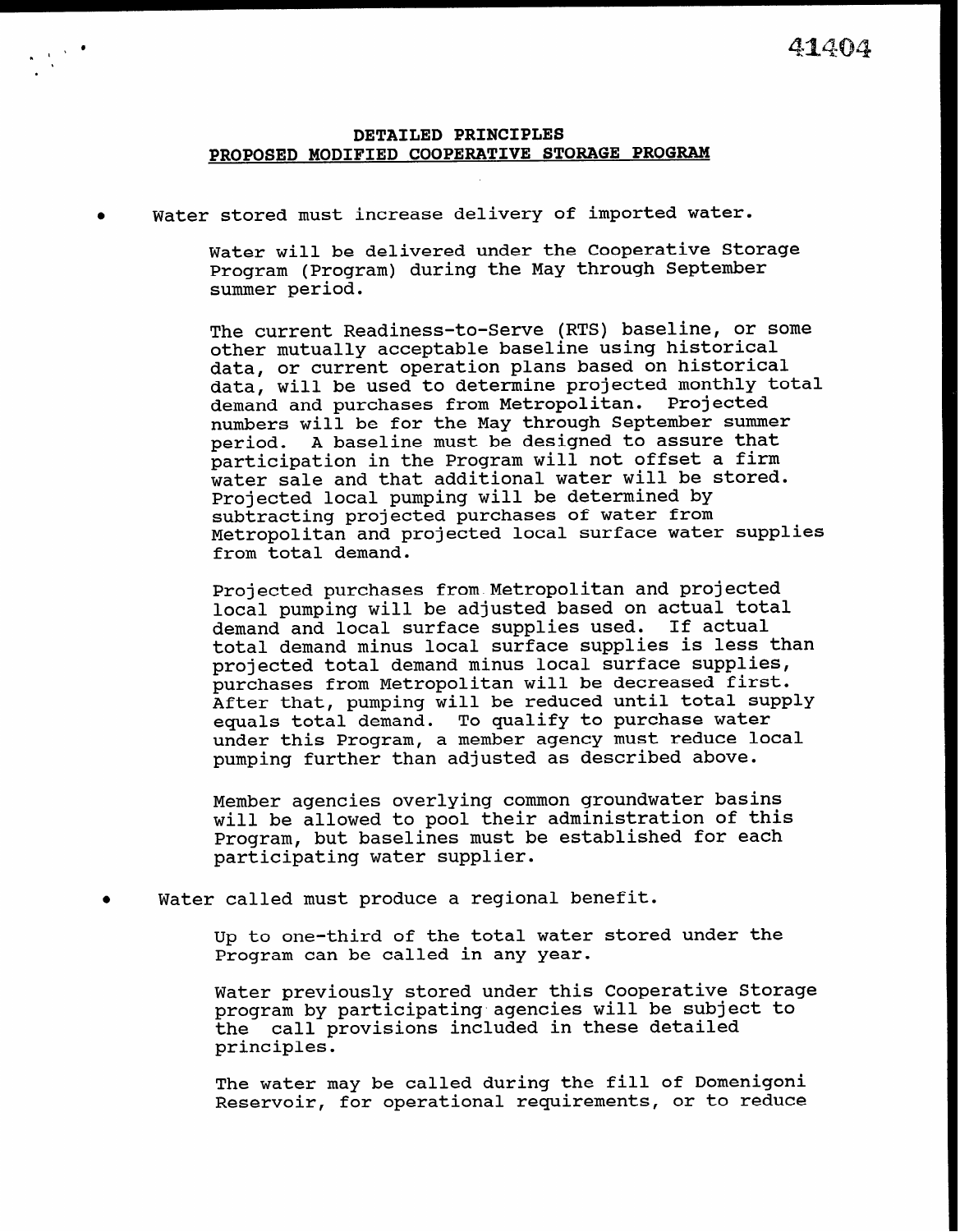## DETAILED PRINCIPLES PROPOSED MODIFIED COOPERATIVE STORAGE PROGRAM

Water stored must increase delivery of imported water.

Water will be delivered under the Cooperative Storage Program (Program) during the May through September summer period.

The current Readiness-to-Serve (RTS) baseline, or some other mutually acceptable baseline using historical data, or current operation plans based on historical data, will be used to determine projected monthly total demand and purchases from Metropolitan. Projected numbers will be for the May through September summer period. A baseline must be designed to assure that participation in the Program will not offset a firm water sale and that additional water will be stored. Projected local pumping will be determined by subtracting projected purchases of water from Metropolitan and projected local surface water supplies from total demand.

Projected purchases from Metropolitan and projected local pumping will be adjusted based on actual total demand and local surface supplies used. If actual total demand minus local surface supplies is less than projected total demand minus local surface supplies, purchases from Metropolitan will be decreased first. After that, pumping will be reduced until total supply equals total demand. To qualify to purchase water under this Program, a member agency must reduce local pumping further than adjusted as described above.

Member agencies overlying common groundwater basins will be allowed to pool their administration of this Program, but baselines must be established for each participating water supplier.

Water called must produce a regional benefit.

Up to one-third of the total water stored under the Program can be called in any year.

Water previously stored under this Cooperative Storage program by participating-agencies will be subject to the call provisions included in these detailed principles.

The water may be called during the fill of Domenigoni Reservoir, for operational requirements, or to reduce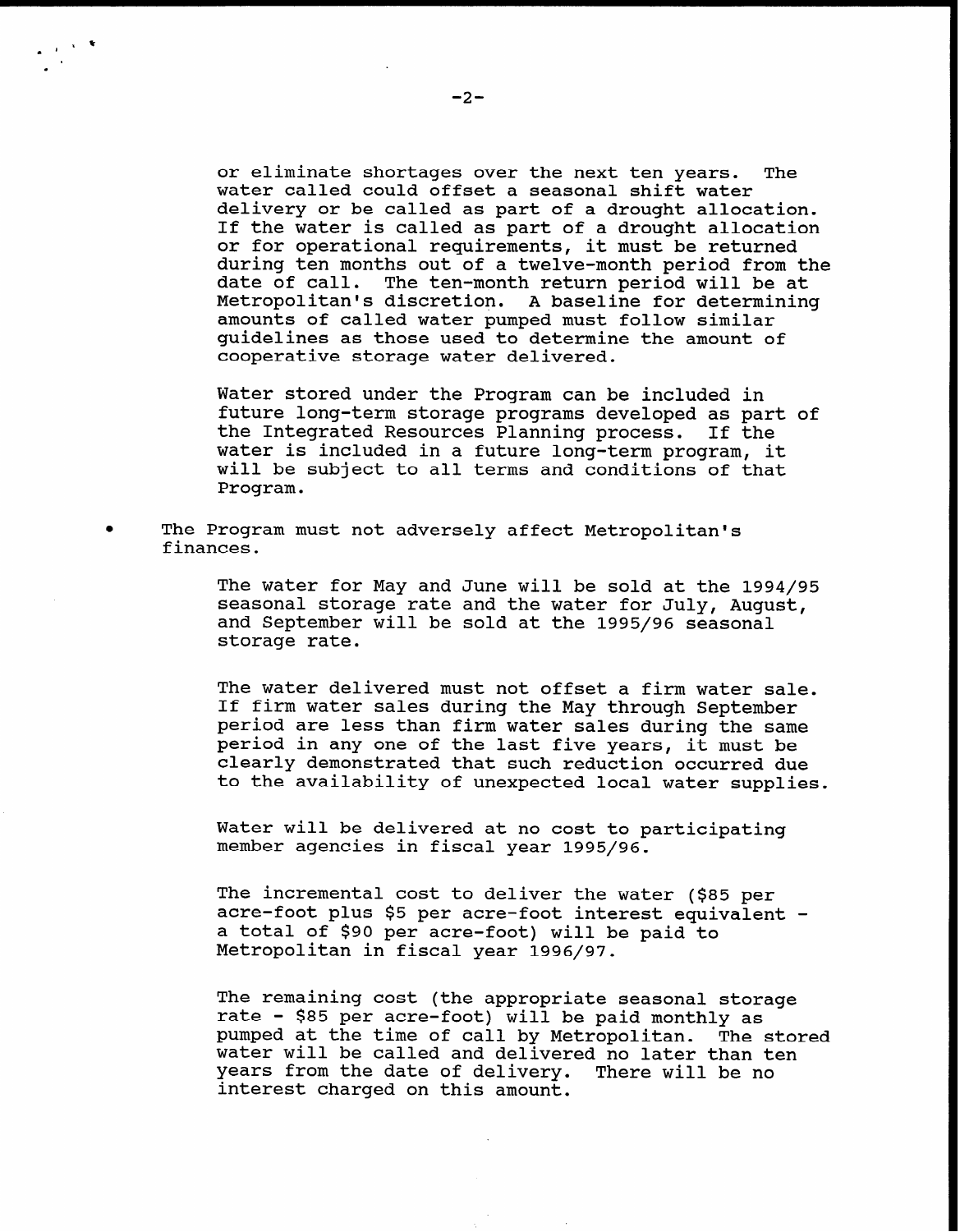or eliminate shortages over the next ten years. The water called could offset a seasonal shift water delivery or be called as part of a drought allocation. If the water is called as part of a drought allocation or for operational requirements, it must be returned during ten months out of a twelve-month period from the date of call. The ten-month return period will be at Metropolitan's discretion. A baseline for determining amounts of called water pumped must follow similar guidelines as those used to determine the amount of cooperative storage water delivered.

Water stored under the Program can be included in future long-term storage programs developed as part of the Integrated Resources Planning process. If the water is included in a future long-term program, it will be subject to all terms and conditions of that Program.

The Program must not adversely affect Metropolitan's finances.

> The water for May and June will be sold at the 1994/95 seasonal storage rate and the water for July, August, and September will be sold at the 1995/96 seasonal storage rate.

The water delivered must not offset a firm water sale. If firm water sales during the May through September period are less than firm water sales during the same period in any one of the last five years, it must be clearly demonstrated that such reduction occurred due to the availability of unexpected local water supplies.

Water will be delivered at no cost to participating member agencies in fiscal year 1995/96.

The incremental cost to deliver the water (\$85 per acre-foot plus \$5 per acre-foot interest equivalent a total of \$90 per acre-foot) will be paid to Metropolitan in fiscal year 1996/97.

The remaining cost (the appropriate seasonal storage rate - \$85 per acre-foot) will be paid monthly as pumped at the time of call by Metropolitan. The stored water will be called and delivered no later than ten years from the date of delivery. There will be no interest charged on this amount.

 $\mathbf{r}$ 

 $\ddot{\phantom{1}}$